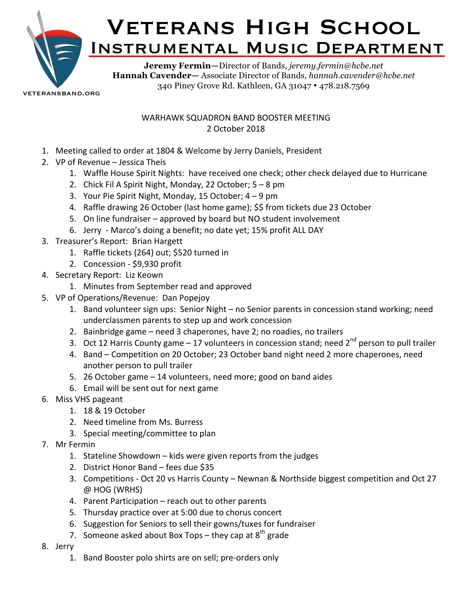

veteransband.org

## WARHAWK SQUADRON BAND BOOSTER MEETING 2 October 2018

- 1. Meeting called to order at 1804 & Welcome by Jerry Daniels, President
- 2. VP of Revenue Jessica Theis
	- 1. Waffle House Spirit Nights: have received one check; other check delayed due to Hurricane
	- 2. Chick Fil A Spirit Night, Monday, 22 October;  $5 8$  pm
	- 3. Your Pie Spirit Night, Monday, 15 October;  $4 9$  pm
	- 4. Raffle drawing 26 October (last home game); \$\$ from tickets due 23 October
	- 5. On line fundraiser approved by board but NO student involvement
	- 6. Jerry Marco's doing a benefit; no date yet; 15% profit ALL DAY
- 3. Treasurer's Report: Brian Hargett
	- 1. Raffle tickets (264) out; \$520 turned in
	- 2. Concession \$9,930 profit
- 4. Secretary Report: Liz Keown
	- 1. Minutes from September read and approved
- 5. VP of Operations/Revenue: Dan Popejoy
	- 1. Band volunteer sign ups: Senior Night no Senior parents in concession stand working; need underclassmen parents to step up and work concession
	- 2. Bainbridge game  $-$  need 3 chaperones, have 2; no roadies, no trailers
	- 3. Oct 12 Harris County game  $-17$  volunteers in concession stand; need  $2^{nd}$  person to pull trailer
	- 4. Band Competition on 20 October; 23 October band night need 2 more chaperones, need another person to pull trailer
	- 5. 26 October game  $-14$  volunteers, need more; good on band aides
	- 6. Email will be sent out for next game
- 6. Miss VHS pageant
	- 1. 18 & 19 October
	- 2. Need timeline from Ms. Burress
	- 3. Special meeting/committee to plan
- 7. Mr Fermin
	- 1. Stateline Showdown kids were given reports from the judges
	- 2. District Honor Band fees due \$35
	- 3. Competitions Oct 20 vs Harris County Newnan & Northside biggest competition and Oct 27  $@$  HOG (WRHS)
	- 4. Parent Participation reach out to other parents
	- 5. Thursday practice over at 5:00 due to chorus concert
	- 6. Suggestion for Seniors to sell their gowns/tuxes for fundraiser
	- 7. Someone asked about Box Tops they cap at  $8^{th}$  grade
- 8. Jerry
	- 1. Band Booster polo shirts are on sell; pre-orders only